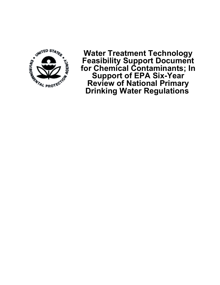

**Water Treatment Technology Feasibility Support Document for Chemical Contaminants; In Support of EPA Six-Year Review of National Primary Drinking Water Regulations**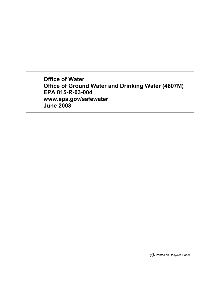**Office of Water Office of Ground Water and Drinking Water (4607M) EPA 815-R-03-004 www.epa.gov/safewater June 2003**

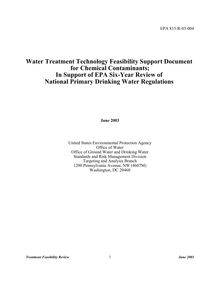# **Water Treatment Technology Feasibility Support Document for Chemical Contaminants; In Support of EPA Six-Year Review of National Primary Drinking Water Regulations**

**June 2003**

United States Environmental Protection Agency Office of Water Office of Ground Water and Drinking Water Standards and Risk Management Division Targeting and Analysis Branch 1200 Pennsylvania Avenue, NW (4607M) Washington, DC 20460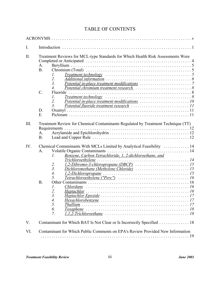# TABLE OF CONTENTS

| I.   |                                                                                                                                                                                                                                                                                                                                                                                                                                                                         |  |
|------|-------------------------------------------------------------------------------------------------------------------------------------------------------------------------------------------------------------------------------------------------------------------------------------------------------------------------------------------------------------------------------------------------------------------------------------------------------------------------|--|
| II.  | Treatment Reviews for MCL-type Standards for Which Health Risk Assessments Were<br>A.<br><b>B.</b><br>$Treatment technology \dots \dots \dots \dots \dots \dots \dots \dots \dots \dots \dots \dots \dots \dots \dots$<br>1.<br>2.<br>3 <sub>1</sub><br>$\overline{4}$ .<br>$\mathcal{C}$ .<br>Fluoride<br>$Treatment technology \dots \dots \dots \dots \dots \dots \dots \dots \dots \dots \dots \dots \dots \dots \dots$<br>1.<br>2.<br>$\mathfrak{Z}$ .<br>D.<br>E. |  |
| III. | Treatment Review for Chemical Contaminants Regulated by Treatment Technique (TT)<br>Requirements<br>A.<br><b>B.</b>                                                                                                                                                                                                                                                                                                                                                     |  |
| IV.  | Chemical Contaminants With MCLs Limited by Analytical Feasibility  14<br>Volatile Organic Contaminants<br>A <sub>1</sub><br>Benzene, Carbon Tetrachloride, 1, 2-dichloroethane, and<br>1.<br>2.<br>$\overline{3}$ .<br>$\overline{4}$ .<br>5.<br><b>B.</b><br>Chlordane $\ldots \ldots \ldots \ldots \ldots \ldots \ldots \ldots \ldots \ldots \ldots \ldots$<br>1.<br>2.<br>$\overline{3}$ .<br>4.<br>5.<br>6.<br>7.                                                   |  |
| V.   | Contaminant for Which BAT Is Not Clear or Is Incorrectly Specified 18                                                                                                                                                                                                                                                                                                                                                                                                   |  |
| VI.  | Contaminant for Which Public Comments on EPA's Review Provided New Information                                                                                                                                                                                                                                                                                                                                                                                          |  |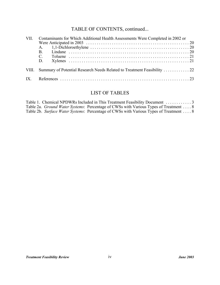# TABLE OF CONTENTS, continued...

| VII.     | Contaminants for Which Additional Health Assessments Were Completed in 2002 or |  |  |
|----------|--------------------------------------------------------------------------------|--|--|
|          |                                                                                |  |  |
|          |                                                                                |  |  |
|          | B.                                                                             |  |  |
|          | $C_{\cdot}$                                                                    |  |  |
|          | D.                                                                             |  |  |
|          |                                                                                |  |  |
| $IX_{-}$ |                                                                                |  |  |

# LIST OF TABLES

|  | Table 2a. <i>Ground Water Systems</i> : Percentage of CWSs with Various Types of Treatment  8 |  |
|--|-----------------------------------------------------------------------------------------------|--|
|  | Table 2b. Surface Water Systems: Percentage of CWSs with Various Types of Treatment  8        |  |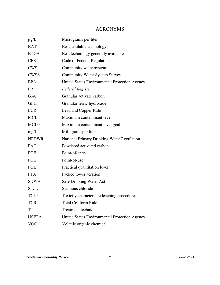## ACRONYMS

| $\mu$ g/L         | Micrograms per liter                          |
|-------------------|-----------------------------------------------|
| <b>BAT</b>        | Best available technology                     |
| <b>BTGA</b>       | Best technology generally available           |
| <b>CFR</b>        | Code of Federal Regulations                   |
| <b>CWS</b>        | Community water system                        |
| <b>CWSS</b>       | <b>Community Water System Survey</b>          |
| <b>EPA</b>        | United States Environmental Protection Agency |
| <b>FR</b>         | <b>Federal Register</b>                       |
| GAC               | Granular activate carbon                      |
| <b>GFH</b>        | Granular ferric hydroxide                     |
| <b>LCR</b>        | Lead and Copper Rule                          |
| <b>MCL</b>        | Maximum contaminant level                     |
| <b>MCLG</b>       | Maximum contaminant level goal                |
| mg/L              | Milligrams per liter                          |
| <b>NPDWR</b>      | National Primary Drinking Water Regulation    |
| <b>PAC</b>        | Powdered activated carbon                     |
| <b>POE</b>        | Point-of-entry                                |
| POU               | Point-of-use                                  |
| PQL               | Practical quantitation level                  |
| <b>PTA</b>        | Packed tower aeration                         |
| <b>SDWA</b>       | Safe Drinking Water Act                       |
| SnCl <sub>2</sub> | Stannous chloride                             |
| <b>TCLP</b>       | Toxicity characteristic leaching procedure    |
| <b>TCR</b>        | <b>Total Coliform Rule</b>                    |
| <b>TT</b>         | Treatment technique                           |
| <b>USEPA</b>      | United States Environmental Protection Agency |
| <b>VOC</b>        | Volatile organic chemical                     |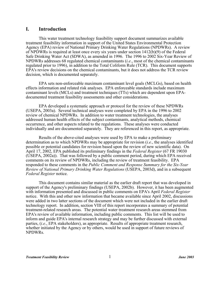## **I. Introduction**

This water treatment technology feasibility support document summarizes available treatment feasibility information in support of the United States Environmental Protection Agency (EPA) review of National Primary Drinking Water Regulations (NPDWRs). A review of NPDWRs is required at least once every six years under section 1412(b)(9) of the Federal Safe Drinking Water Act (SDWA), as amended in 1996. The 1996 to 2002 Six-Year Review of NPDWRs addresses 68 regulated chemical contaminants (*i.e*., most of the chemical contaminants regulated prior to 1996), in addition to the Total Coliform Rule (TCR). This document supports EPA's review decisions on the chemical contaminants, but it does not address the TCR review decision, which is documented separately.

EPA sets non-enforceable maximum contaminant level goals (MCLGs), based on health effects information and related risk analyses. EPA enforceable standards include maximum contaminant levels (MCLs) and treatment techniques (TTs) which are dependent upon EPAdocumented treatment feasibility assessments and other considerations.

EPA developed a systematic approach or protocol for the review of these NPDWRs (USEPA, 2003a). Several technical analyses were completed by EPA in the 1996 to 2002 review of chemical NPDWRs. In addition to water treatment technologies, the analyses addressed human health effects of the subject contaminants, analytical methods, chemical occurrence, and other aspects related to the regulations. These analyses were conducted individually and are documented separately. They are referenced in this report, as appropriate.

Results of the above-cited analyses were used by EPA to make a preliminary determination as to which NPDWRs may be appropriate for revision (*i.e.*, the analyses identified possible or potential candidates for revision based upon the review of new scientific data). On April 17, 2002, EPA published its preliminary findings in the *Federal Register* (67 FR 19030 (USEPA, 2002a)). That was followed by a public comment period, during which EPA received comments on its review of NPDWRs, including the review of treatment feasibility. EPA responded to these comments in the *Public Comment and Response Summary for the Six-Year Review of National Primary Drinking Water Regulations* (USEPA, 2003d), and in a subsequent *Federal Register* notice.

This document contains similar material as the earlier draft report that was developed in support of the Agency's preliminary findings (USEPA, 2002b). However, it has been augmented with information presented and discussed in public comments on EPA's April *Federal Register* notice. With this and other new information that became available since April 2002, discussions were added in two latter sections of the document which were not included in the earlier draft technology report. In addition, section VIII of this report incorporates a summary of potential treatment-related research areas. The potential water treatment research areas stemmed from EPA's review of available information, including public comments. This list will be used to inform and guide EPA's internal research strategy and may be further discussed with external parties, (*i.e.*, EPA stakeholders), as appropriate. Results of appropriate treatment research, whether initiated by the Agency or by others, would be used in support of future reviews of NPDWRs.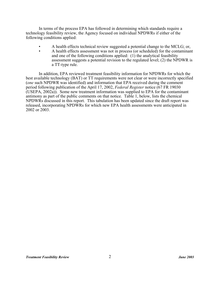In terms of the process EPA has followed in determining which standards require a technology feasibility review, the Agency focused on individual NPDWRs if either of the following conditions applied:

- A health effects technical review suggested a potential change to the MCLG; or,
- A health effects assessment was not in process (or scheduled) for the contaminant and one of the following conditions applied: (1) the analytical feasibility assessment suggests a potential revision to the regulated level; (2) the NPDWR is a TT-type rule.

In addition, EPA reviewed treatment feasibility information for NPDWRs for which the best available technology (BAT) or TT requirements were not clear or were incorrectly specified (*one* such NPDWR was identified) and information that EPA received during the comment period following publication of the April 17, 2002, *Federal Register* notice (67 FR 19030 (USEPA, 2002a)). Some new treatment information was supplied to EPA for the contaminant antimony as part of the public comments on that notice. Table 1, below, lists the chemical NPDWRs discussed in this report. This tabulation has been updated since the draft report was released, incorporating NPDWRs for which new EPA health assessments were anticipated in 2002 or 2003.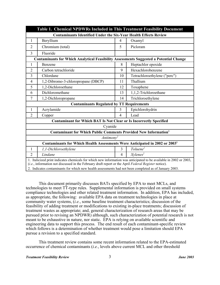| Table 1. Chemical NPDWRs Included in This Treatment Feasibility Document                                                                                                                                                   |                                                                                               |                |                              |  |  |  |  |
|----------------------------------------------------------------------------------------------------------------------------------------------------------------------------------------------------------------------------|-----------------------------------------------------------------------------------------------|----------------|------------------------------|--|--|--|--|
| <b>Contaminants Identified Under the Six-Year Health Effects Review</b>                                                                                                                                                    |                                                                                               |                |                              |  |  |  |  |
| 1                                                                                                                                                                                                                          | Beryllium                                                                                     | 4              | Oxamyl                       |  |  |  |  |
| $\overline{2}$                                                                                                                                                                                                             | Chromium (total)                                                                              | 5              | Picloram                     |  |  |  |  |
| $\overline{3}$                                                                                                                                                                                                             | Fluoride                                                                                      |                |                              |  |  |  |  |
|                                                                                                                                                                                                                            | <b>Contaminants for Which Analytical Feasibility Assessments Suggested a Potential Change</b> |                |                              |  |  |  |  |
| 1                                                                                                                                                                                                                          | Benzene                                                                                       | 8              | Heptachlor epoxide           |  |  |  |  |
| $\overline{2}$                                                                                                                                                                                                             | Carbon tetrachloride                                                                          | 9              | Hexachlorobenzene            |  |  |  |  |
| 3                                                                                                                                                                                                                          | Chlordane                                                                                     | 10             | Tetrachloroethylene ("perc") |  |  |  |  |
| 4                                                                                                                                                                                                                          | 1,2-Dibromo-3-chloropropane (DBCP)                                                            | 11             | Thallium                     |  |  |  |  |
| 5                                                                                                                                                                                                                          | 1,2-Dichloroethane                                                                            | 12             | Toxaphene                    |  |  |  |  |
| 6                                                                                                                                                                                                                          | Dichloromethane                                                                               | 13             | 1,1,2-Trichloroethane        |  |  |  |  |
| $\tau$                                                                                                                                                                                                                     | 1,2-Dichloropropane                                                                           | 14             | Trichloroethylene            |  |  |  |  |
|                                                                                                                                                                                                                            | <b>Contaminants Regulated by TT Requirements</b>                                              |                |                              |  |  |  |  |
| 1                                                                                                                                                                                                                          | Acrylamide                                                                                    | 3              | Epichlorohydrin              |  |  |  |  |
| $\overline{2}$                                                                                                                                                                                                             | Copper                                                                                        | $\overline{4}$ | Lead                         |  |  |  |  |
|                                                                                                                                                                                                                            | <b>Contaminant for Which BAT Is Not Clear or Is Incorrectly Specified</b>                     |                |                              |  |  |  |  |
|                                                                                                                                                                                                                            | Cyanide                                                                                       |                |                              |  |  |  |  |
| <b>Contaminant for Which Public Comments Provided New Information</b> <sup>1</sup>                                                                                                                                         |                                                                                               |                |                              |  |  |  |  |
| Antimony <sup>2</sup>                                                                                                                                                                                                      |                                                                                               |                |                              |  |  |  |  |
| Contaminants for Which Health Assessments Were Anticipated in 2002 or 2003 <sup>1</sup>                                                                                                                                    |                                                                                               |                |                              |  |  |  |  |
| 1                                                                                                                                                                                                                          | 1,1-Dichloroethylene                                                                          | 3              | Toluene <sup>2</sup>         |  |  |  |  |
| $\overline{2}$                                                                                                                                                                                                             | Lindane                                                                                       | 4              | $X$ ylenes <sup>2</sup>      |  |  |  |  |
| 1. Italicized print indicates chemicals for which new information was anticipated to be available in 2002 or 2003,<br>(i.e., information not discussed in the February draft report or the April Federal Register notice). |                                                                                               |                |                              |  |  |  |  |
| 2. Indicates contaminants for which new health assessments had not been completed as of January 2003.                                                                                                                      |                                                                                               |                |                              |  |  |  |  |

This document primarily discusses BATs specified by EPA to meet MCLs, and technologies to meet TT-type rules. Supplemental information is provided on small systems compliance technologies and other related treatment information. In addition, EPA has included, as appropriate, the following: available EPA data on treatment technologies in place at community water systems, (*i.e.*, some baseline treatment characteristics; discussion of the feasibility of adding treatment or modifications to existing in-place treatments; discussion of treatment wastes as appropriate; and, general characterization of research areas that may be pursued prior to revising an NPDWR) although, such characterization of potential research is not meant to be exhaustive in nature, nor static. EPA is relying on available scientific and engineering data to support this process. The end result of each contaminant-specific review which follows is a determination of whether treatment would pose a limitation should EPA pursue a revision to a specified standard.

This treatment review contains some recent information related to the EPA-estimated occurrence of chemical contaminants (*i.e.*, levels above current MCL and other threshold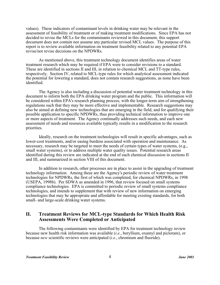values). These indicators of contaminant levels in drinking water may be relevant in the assessment of feasibility of treatment or of making treatment modifications. Since EPA has not decided to revise the MCLs for the contaminants reviewed in this document, this support document does not contain nor assume any particular revised MCL values. The purpose of this report is to review available information on treatment feasibility related to any potential EPA revise/not revise decisions on the NPDWRs.

As mentioned above, this treatment technology document identifies areas of water treatment research which may be required if EPA were to consider revisions to a standard. These are identified in sections II and III, in relation to chemical MCL and TT-type rules, respectively. Section IV, related to MCL-type rules for which analytical assessment indicated the potential for lowering a standard, does not contain research suggestions, as none have been identified.

The Agency is also including a discussion of potential water treatment technology in this document to inform both the EPA drinking water program and the public. This information will be considered within EPA's research planning process, with the longer-term aim of strengthening regulations such that they may be more effective and implementable. Research suggestions may also be aimed at defining new technologies that are emerging in the field, and for qualifying their possible application to specific NPDWRs, thus providing technical information to improve one or more aspects of treatment. The Agency continually addresses such needs, and each new assessment of needs and resources available typically results in a modification to the research priorities.

Ideally, research on the treatment technologies will result in specific advantages, such as lower-cost treatments, and/or easing burdens associated with operation and maintenance. As necessary, research may be targeted to meet the needs of certain types of water systems, (e.g., small water systems), or to address multiple water quality issues. Potential research areas identified during this review are indicated at the end of each chemical discussion in sections II and III, and summarized in section VIII of this document.

In addition to research, other processes are in place to assist in the upgrading of treatment technology information. Among these are the Agency's periodic review of water treatment technologies for NPDWRs, the first of which was completed, for chemical NPDWRs, in 1998 (USEPA, 1998b). Per SDWA as amended in 1996, that review focused on small systems compliance technologies. EPA is committed to periodic review of small systems compliance technologies, and intends to supplement that with review of new information on emerging technologies that may be appropriate and affordable for meeting existing standards, for both small- and large-scale drinking water systems.

## **II. Treatment Reviews for MCL-type Standards for Which Health Risk Assessments Were Completed or Anticipated**

The following contaminants were identified by EPA for treatment technology review because new health risk information was available (*i.e.*, beryllium, oxamyl and picloram), or because *new* scientific reviews were anticipated (*i.e.*, chromium and fluoride).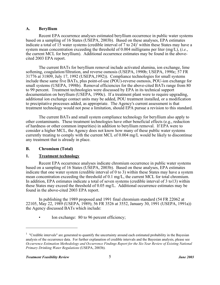### **A. Beryllium**

Recent EPA occurrence analyses estimated beryllium occurrence in public water systems based on a sampling of 16 States (USEPA, 2003b). Based on these analyses, EPA estimates indicate a total of 15 water systems (credible interval of 7 to 24)<sup>1</sup> within these States may have a system mean concentration exceeding the threshold of 0.004 milligrams per liter (mg/L), (*i.e.*, the current MCL for beryllium). Additional occurrence estimates may be found in the abovecited 2003 EPA report.

The current BATs for beryllium removal include activated alumina, ion exchange, lime softening, coagulation/filtration, and reverse osmosis (USEPA, 1990b; USEPA, 1990c; 57 FR 31776 at 31809, July 17, 1992 (USEPA,1992)). Compliance technologies for small systems include these same five BATs, plus point-of-use (POU)-reverse osmosis, POU-ion exchange for small systems (USEPA, 1998b). Removal efficiencies for the above-cited BATs range from 80 to 99 percent. Treatment technologies were discussed by EPA in its technical support documentation on beryllium (USEPA, 1990c). If a treatment plant were to require upgrading, additional ion exchange contact units may be added, POU treatment installed, or a modification to precipitative processes added, as appropriate. The Agency's current assessment is that treatment technology would not pose a limitation, should EPA pursue a revision to this standard.

The current BATs and small system compliance technology for beryllium also apply to other contaminants. These treatment technologies have other beneficial effects (e.g., reduction of hardness or other common impurities) in addition to beryllium removal. If EPA were to consider a higher MCL, the Agency does not know how many of these public water systems currently treating to comply with the current MCL of 0.004 mg/L would be likely to discontinue any treatment that is already in place.

## **B. Chromium (Total)**

## **1. Treatment technology**

Recent EPA occurrence analyses indicate chromium occurrence in public water systems based on a sampling of 16 States (USEPA, 2003b). Based on these analyses, EPA estimates indicate that one water system (credible interval of 0 to 3) within these States may have a system mean concentration exceeding the threshold of 0.1 mg/L, the current MCL for total chromium. In addition, EPA estimates indicate a total of seven systems (credible interval of 3 to13) within these States may exceed the threshold of 0.05 mg/L. Additional occurrence estimates may be found in the above-cited 2003 EPA report.

In publishing the 1989 proposed and 1991 final chromium standard (54 FR 22062 at 22105, May 22, 1989 (USEPA, 1989); 56 FR 3526 at 3552, January 30, 1991 (USEPA, 1991a)) the Agency discussed BATs which include:

Ion exchange: 80 to 96 percent efficiency;

 $1$  "Credible intervals" are generated to quantify the uncertainty around each estimated probability in the Bayesian analysis of the occurrence data. For further explanation of credible intervals and the Bayesian analysis, please see *Occurrence Estimation Methodology and Occurrence Findings Report for the Six-Year Review of Existing National Primary Drinking Water Regulations* (USEPA, 2003b).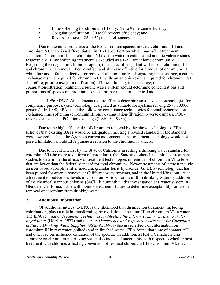- Lime softening for chromium III only: 72 to 99 percent efficiency;
- Coagulation/filtration: 90 to 99 percent efficiency; and
- Reverse osmosis: 82 to 97 percent efficiency.

Due to the ionic properties of the two chromium species in water, chromium III and chromium VI, there is a differentiation in BAT specification which may affect treatment selection. Chromium III and chromium VI exist in water in cationic and anionic valence states, respectively. Lime softening treatment is excluded as a BAT for anionic chromium VI. Regarding the coagulation/filtration option, the choice of coagulant will impact chromium III and chromium VI removal. Ferric sulfate and alum are effective for removal of chromium III, while ferrous sulfate is effective for removal of chromium VI. Regarding ion exchange, a cation exchange resin is required for chromium III, while an anionic resin is required for chromium VI. Therefore, prior to use (or modification) of lime softening, ion exchange, or coagulation/filtration treatment, a public water system should determine concentrations and proportions of species of chromium to select proper media or chemical aid.

The 1996 SDWA Amendments require EPA to determine small system technologies for compliance purposes, (*i.e.*, technology designated as suitable for systems serving 25 to 10,000 persons). In 1998, EPA listed the following compliance technologies for small systems: ion exchange, lime softening (chromium III only), coagulation/filtration, reverse osmosis, POUreverse osmosis, and POU-ion exchange (USEPA, 1998b).

Due to the high efficiencies of chromium removal by the above technologies, EPA believes that existing BATs would be adequate in meeting a revised standard (if the standard were lowered). Thus, the Agency's current assessment is that treatment technology would not pose a limitation should EPA pursue a revision to the chromium standard.

Due to recent interest by the State of California in setting a drinking water standard for chromium VI (the more toxic form of chromium), that State and others have initiated treatment studies to determine the efficacy of treatment technologies in removal of chromium VI to levels that are lower than the federal standard for total chromium. Newer treatments of interest include an iron-based absorptive filter medium, granular ferric hydroxide (GFH), a technology that has been piloted for arsenic removal at California water systems, and in the United Kingdom. Also, a treatment to reduce low levels of chromium VI to chromium III in drinking water by addition of the chemical stannous chlorine  $(SnCl<sub>2</sub>)$  is currently under investigation at a water system in Glendale, California. EPA will monitor treatment studies to determine acceptability for use in removal of chromium from drinking water.

#### **2. Additional information**

Of additional interest to EPA is the likelihood that disinfection treatment, including chlorination, plays a role in transforming, by oxidation, chromium III to chromium VI in water. The EPA *Manual of Treatment Techniques for Meeting the Interim Primary Drinking Water Regulations* (USEPA, 1977) and the EPA *Occurrence and Exposure Assessment for Chromium in Public Drinking Water Supplies* (USEPA, 1990a) discussed effects of chlorination on chromium III in raw water (spiked) and in finished water. EPA found that time of contact, pH and other factors influence oxidation of the species. In addition, a Health Canada criteria summary on chromium in drinking water also indicated uncertainty with respect to whether posttreatment with chlorine, affecting conversion of residual chromium III to chromium VI, may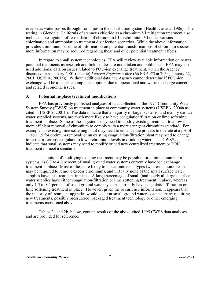reverse as water passes through iron pipes in the distribution system (Health Canada, 1986). The testing in Glendale, California of stannous chloride as a chromium VI mitigation treatment also includes investigation of re-oxidation of chromium III to chromium VI under various chlorination and ammoniation treatment disinfection scenarios. While the above information provides a minimum baseline of information on potential transformations of chromium species, more information may be required regarding these and other potential treatment effects.

In regard to small system technologies, EPA will review available information on newer potential treatments as research and field studies are undertaken and publicized. EPA may also need additional data on issues related to POU-ion exchange treatment, which the Agency discussed in a January 2001 (arsenic) *Federal Register* notice (66 FR 6975 at 7034, January 22, 2001 (USEPA, 2001a)). Without additional data, the Agency cannot determine if POU-ion exchange will be a feasible compliance option, due to operational and waste discharge concerns, and related economic issues.

#### **3. Potential in-place treatment modifications**

EPA has previously published analyses of data collected in the 1995 Community Water System Survey (CWSS) on treatment in place at community water systems (USEPA, 2000a as cited in USEPA, 2001b). The data indicate that a majority of larger systems, and mainly surface water supplied systems, are much more likely to have coagulation/filtration or lime softening treatment in place. Some of these systems may need to modify existing treatment to allow for more efficient removal of chromium to comply with a more stringent chromium standard. For example, an existing lime softening plant may need to enhance the process to operate at a pH of 11 to 11.5 for optimum removal; or an existing coagulation/filtration plant may need to change to ferric or ferrous coagulant to lower chromium levels in drinking water. The CWSS data also indicate that small systems may need to modify or add new centralized treatment or POU treatment to meet a standard.

The option of modifying existing treatment may be possible for a limited number of systems, as 0.7 to 4.6 percent of small ground water systems currently have ion exchange treatment in place. Most of these are likely to be cationic resin types (whereas anionic resins may be required to remove excess chromium), and virtually none of the small surface water supplies have this treatment in place. A large percentage of small (and nearly all large) surface water supplies have either coagulation/filtration or lime softening treatment in place, whereas only 1.5 to 8.1 percent of small ground water systems currently have coagulation/filtration or lime softening treatment in place. However, given the occurrence information, it appears that the majority of treatment upgrades would occur at small ground water systems, many requiring new treatments, possibly pressurized, packaged treatment technology or other emerging treatments mentioned above.

Tables 2a and 2b, below, contain results of the above-cited 1995 CWSS data analyses and are provided for reference.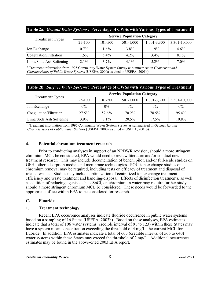| Table 2a. Ground Water Systems: Percentage of CWSs with Various Types of Treatment <sup>1</sup> |                                    |         |             |             |              |  |  |
|-------------------------------------------------------------------------------------------------|------------------------------------|---------|-------------|-------------|--------------|--|--|
|                                                                                                 | <b>Service Population Category</b> |         |             |             |              |  |  |
| <b>Treatment Types</b>                                                                          | $25 - 100$                         | 101-500 | $501-1,000$ | 1,001-3,300 | 3,301-10,000 |  |  |
| Ion Exchange                                                                                    | $0.7\%$                            | $1.6\%$ | $3.8\%$     | $1.9\%$     | $4.6\%$      |  |  |
| Coagulation/Filtration                                                                          | 1.5%                               | $5.4\%$ | 42%         | $3.4\%$     | $8.1\%$      |  |  |
| Lime/Soda Ash Softening                                                                         | 2.1%                               | 3.7%    | $41\%$      | $5.2\%$     | $7.0\%$      |  |  |

1 Treatment information from 1995 Community Water System Survey as summarized in *Geometries and Characteristics of Public Water Systems* (USEPA, 2000a as cited in USEPA, 2001b).

| Table 2b. Surface Water Systems: Percentage of CWSs with Various Types of Treatment <sup>1</sup>                                                                                               |                                    |         |             |             |              |  |  |
|------------------------------------------------------------------------------------------------------------------------------------------------------------------------------------------------|------------------------------------|---------|-------------|-------------|--------------|--|--|
| <b>Treatment Types</b>                                                                                                                                                                         | <b>Service Population Category</b> |         |             |             |              |  |  |
|                                                                                                                                                                                                | $25-100$                           | 101-500 | $501-1,000$ | 1,001-3,300 | 3,301-10,000 |  |  |
| Ion Exchange                                                                                                                                                                                   | $0\%$                              | $0\%$   | $0\%$       | $0\%$       | $0\%$        |  |  |
| Coagulation/Filtration                                                                                                                                                                         | 27.5%                              | 52.6%   | 70.2%       | 78.5%       | 95.4%        |  |  |
| Lime/Soda Ash Softening                                                                                                                                                                        | $3.9\%$                            | $8.1\%$ | 20.5%       | 17.5%       | 10.8%        |  |  |
| <sup>1</sup> Treatment information from 1995 Community Water System Survey as summarized in Geometries and<br>Characteristics of Public Water Systems (USEPA, 2000a as cited in USEPA, 2001b). |                                    |         |             |             |              |  |  |

## **4. Potential chromium treatment research**

Prior to conducting analyses in support of an NPDWR revision, should a more stringent chromium MCL be considered, EPA would need to review literature and/or conduct new treatment research. This may include documentation of bench, pilot, and/or full-scale studies on GFH, other adsorption media, and membrane technologies. POU-ion exchange studies on chromium removal may be required, including tests on efficacy of treatment and disposal of related wastes. Studies may include optimization of centralized ion exchange treatment efficiency and waste treatment and handling/disposal. Effects of disinfection treatments, as well as addition of reducing agents such as SnCl<sub>2</sub> on chromium in water may require further study should a more stringent chromium MCL be considered. These needs would be forwarded to the appropriate office within EPA to be considered for research.

## **C. Fluoride**

## **1. Treatment technology**

Recent EPA occurrence analyses indicate fluoride occurrence in public water systems based on a sampling of 16 States (USEPA, 2003b). Based on these analyses, EPA estimates indicate that a total of 106 water systems (credible interval of 91 to 123) within these States may have a system mean concentration exceeding the threshold of 4 mg/L, the current MCL for fluoride. In addition, EPA estimates indicate a total of 603 (credible interval of 566 to 640) water systems within these States may exceed the threshold of 2 mg/L. Additional occurrence estimates may be found in the above-cited 2003 EPA report.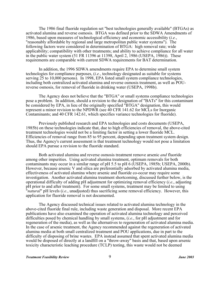The 1986 final fluoride regulation set "best technologies generally available" (BTGAs) as activated alumina and reverse osmosis. BTGA was defined prior to the SDWA Amendments of 1986, based upon measures of technological efficiency and economic accessibility (*i.e.*, "reasonably affordable by regional and large metropolitan public water systems"). The following factors were considered in determination of BTGA: high removal rate; wide applicability; compatibility with other treatments; and ability to achieve compliance for all water in the public water system (51 FR 11396 at 11398, April 2, 1986 (USEPA, 1986)). These requirements are comparable with current SDWA requirements for BAT determination.

In addition, the 1996 SDWA amendments require EPA to determine small system technologies for compliance purposes, (*i.e.*, technology designated as suitable for systems serving 25 to 10,000 persons). In 1998, EPA listed small system compliance technologies, including both centralized activated alumina and reverse osmosis treatment, as well as POUreverse osmosis, for removal of fluoride in drinking water (USEPA, 1998b).

The Agency does not believe that the "BTGA" or small systems compliance technologies pose a problem. In addition, should a revision to the designation of "BATs" for this contaminant be considered by EPA, in lieu of the originally specified "BTGA" designation, this would represent a minor revision to the NPDWR (see 40 CFR 141.62 for MCLs for Inorganic Contaminants; and 40 CFR 142.61, which specifies variance technologies for fluoride).

Previously published research and EPA technologies and costs documents (USEPA, 1985b) on these technologies indicate that, due to high efficiencies of removal, the above-cited treatment technologies would not be a limiting factor in setting a lower fluoride MCL. Efficiencies of removal range from 85 to 95 percent, depending upon treatment system design. Thus, the Agency's current assessment is that treatment technology would not pose a limitation should EPA pursue a revision to the fluoride standard.

Both activated alumina and reverse osmosis treatment remove arsenic *and* fluoride among other impurities. Using activated alumina treatment, optimum removals for both contaminants may occur in a similar range of pH 5.5 to pH 6 (USEPA, 1985b; USEPA, 2000b). However, because arsenic V and silica are preferentially adsorbed by activated alumina media, effectiveness of activated alumina where arsenic and fluoride co-occur may require some investigation. Another activated alumina treatment shortcoming, discussed further below, is the operational difficulty of adding pH adjustment for optimizing removal efficiency (*i.e.*, adjusting pH prior to and after treatment). For some small systems, treatment may be limited to using "*natural*" pH levels (*i.e.*, unadjusted) thus sacrificing some removal efficiency. However, this application for fluoride removal is not documented.

The Agency discussed technical issues related to activated alumina technology in the above-cited fluoride final rule, including waste generation and disposal. More recent EPA publications have also examined the operation of activated alumina technology and perceived difficulties posed by chemical handling by small systems, (*i.e.*, for pH adjustment and for regeneration of the media), as well as the alternatives to regeneration of activated alumina media. In the case of arsenic treatment, the Agency recommended against the regeneration of activated alumina media at both small centralized treatment and POU applications, due in part to the difficulty of disposing of brine wastes. EPA instead assumed that spent activated alumina media would be disposed of directly at a landfill on a "throw-away" basis and that, based upon arsenic toxicity characteristic leaching procedure (TCLP) testing, this waste would not be deemed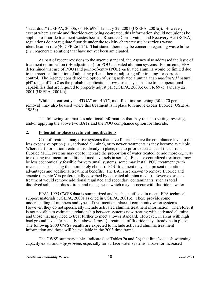"hazardous" (USEPA, 2000b; 66 FR 6975, January 22, 2001 (USEPA, 2001a)). However, except where arsenic and fluoride were being co-treated, this information should not (alone) be applied to fluoride treatment wastes because Resource Conservation and Recovery Act (RCRA) regulations do not regulate fluoride under the toxicity characteristic hazardous waste identification rule (40 CFR 261.24). That stated, there may be concerns regarding waste brine (*i.e.*, regenerate solution) that have not yet been anticipated.

As part of recent revisions to the arsenic standard, the Agency also addressed the issue of treatment optimization (pH adjustment) for POU-activated alumina systems. For arsenic, EPA determined that use of POU (and point-of-entry (POE))-activated alumina would be limited due to the practical limitation of adjusting pH and then re-adjusting after treating for corrosion control. The Agency considered the option of using activated alumina at an *unadjusted* "natural pH" range of 7 to 8 as the probable application at *very* small systems due to the operational capabilities that are required to properly adjust pH (USEPA, 2000b; 66 FR 6975, January 22, 2001 (USEPA, 2001a)).

While not currently a "BTGA" or "BAT", modified lime softening (30 to 70 percent removal) may also be used where this treatment is in place to remove excess fluoride (USEPA, 1985b).

The following summarizes additional information that may relate to setting, revising, and/or applying the above two BATs and the POU compliance option for fluoride.

#### **2. Potential in-place treatment modifications**

Cost of treatment may drive systems that have fluoride above the compliance level to the less expensive option (*i.e.*, activated alumina), or to newer treatments as they become available. Where de-fluoridation treatment is already in place, due to prior exceedance of the current fluoride MCL, systems may opt to increase the proportion of water treated, or add more *capacity* to existing treatment (or additional media vessels in series). Because centralized treatment may be less economically feasible for very small systems, some may install POU treatment (with reverse osmosis being the more likely choice). POU treatment may also present operational advantages and additional treatment benefits. The BATs are known to remove fluoride and arsenic (arsenic V is preferentially adsorbed by activated alumina media). Reverse osmosis treatment would remove additional regulated and secondary contaminants, such as total dissolved solids, hardness, iron, and manganese, which may co-occur with fluoride in water.

EPA's 1995 CWSS data is summarized and has been utilized in recent EPA technical support materials (USEPA, 2000a as cited in USEPA, 2001b). These provide some understanding of numbers and types of treatments in place at community water systems. However, they do not specifically include activated alumina treatment information. Therefore, it is not possible to estimate a relationship between systems now treating with activated alumina, and those that may need to treat further to meet a lower standard. However, in areas with high background levels (especially if above 4 mg/L), treatment of fluoride may already be in place. The followup 2000 CWSS results are expected to include activated alumina treatment information and these will be available in the 2003 time frame.

The CWSS summary tables indicate (see Tables 2a and 2b) that lime/soda ash softening capacity exists and *may provide*, especially for surface water systems, a base for increased

*Treatment Feasibility Review* 10 10 *June 2003*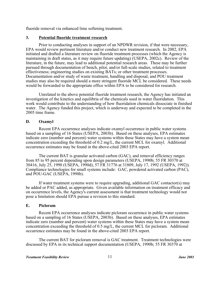fluoride removal via enhanced lime softening treatment.

## **3. Potential fluoride treatment research**

Prior to conducting analyses in support of an NPDWR revision, if that were necessary, EPA would review pertinent literature and/or conduct new treatment research. In 2002, EPA initiated and drafted a literature review on fluoride treatment processes (which the Agency is maintaining in draft status, as it may require future updating) (USEPA, 2002c). Review of the literature, in the future, may lead to additional potential research areas. These may be further pursued through documentation of bench, pilot, and/or full-scale studies, related to treatment effectiveness; engineering studies on existing BATs; or other treatment processes. Documentation and/or study of waste treatment, handling and disposal, and POU treatment studies may also be required should a more stringent fluoride MCL be considered. These needs would be forwarded to the appropriate office within EPA to be considered for research.

Unrelated to the above potential fluoride treatment research, the Agency has initiated an investigation of the kinetics and equilibria of the chemicals used in water fluoridation. This work would contribute to the understanding of how fluoridation chemicals dissociate in finished water. The Agency funded this project, which is underway and expected to be completed in the 2005 time frame.

## **D. Oxamyl**

Recent EPA occurrence analyses indicate oxamyl occurrence in public water systems based on a sampling of 16 States (USEPA, 2003b). Based on these analyses, EPA estimates indicate zero (number and percent) water systems within these States may have a system mean concentration exceeding the threshold of 0.2 mg/L, the current MCL for oxamyl. Additional occurrence estimates may be found in the above-cited 2003 EPA report.

The current BAT is granular activated carbon (GAC), and removal efficiency ranges from 85 to 95 percent depending upon design parameters (USEPA, 1990b; 55 FR 30370 at 30416, July 25, 1990 (USEPA, 1990d), 57 FR 31776 at 31809, July 17, 1992 (USEPA, 1992)). Compliance technologies for small systems include: GAC, powdered activated carbon (PAC), and POU-GAC (USEPA, 1998b).

If water treatment systems were to require upgrading, additional GAC contactor(s) may be added or PAC added, as appropriate. Given available information on treatment efficacy and on occurrence levels, the Agency's current assessment is that treatment technology would not pose a limitation should EPA pursue a revision to this standard.

## **E. Picloram**

Recent EPA occurrence analyses indicate picloram occurrence in public water systems based on a sampling of 16 States (USEPA, 2003b). Based on these analyses, EPA estimates indicate zero (number and percent) water systems within these States may have a system mean concentration exceeding the threshold of 0.5 mg/L, the current MCL for picloram. Additional occurrence estimates may be found in the above-cited 2003 EPA report.

The current BAT for picloram removal is GAC treatment. Treatment technologies were discussed by EPA in its technical support documentation (USEPA, 1990b; 55 FR 30370 at

### *Treatment Feasibility Review* 11 **1** *June 2003*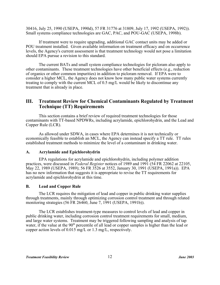30416, July 25, 1990 (USEPA, 1990d), 57 FR 31776 at 31809, July 17, 1992 (USEPA, 1992)). Small systems compliance technologies are GAC, PAC, and POU-GAC (USEPA, 1998b).

If treatment were to require upgrading, additional GAC contact units may be added or POU treatment installed. Given available information on treatment efficacy and on occurrence levels, the Agency's current assessment is that treatment technology would not pose a limitation should EPA pursue a revision to this standard.

The current BATs and small system compliance technologies for picloram also apply to other contaminants. These treatment technologies have other beneficial effects (e.g., reduction of organics or other common impurities) in addition to picloram removal. If EPA were to consider a higher MCL, the Agency does not know how many public water systems currently treating to comply with the current MCL of 0.5 mg/L would be likely to discontinue any treatment that is already in place.

## **III. Treatment Review for Chemical Contaminants Regulated by Treatment Technique (TT) Requirements**

This section contains a brief review of required treatment technologies for those contaminants with TT-based NPDWRs, including acrylamide, epichlorohydrin, and the Lead and Copper Rule (LCR).

As allowed under SDWA, in cases where EPA determines it is not technically or economically feasible to establish an MCL, the Agency can instead specify a TT rule. TT rules established treatment methods to minimize the level of a contaminant in drinking water.

## **A. Acrylamide and Epichlorohydrin**

EPA regulations for acrylamide and epichlorohydrin, including polymer addition practices, were discussed in *Federal Register* notices of 1989 and 1991 (54 FR 22062 at 22105, May 22, 1989 (USEPA, 1989); 56 FR 3526 at 3552, January 30, 1991 (USEPA, 1991a)). EPA has no new information that suggests it is appropriate to revise the TT requirements for acrylamide and epichlorohydrin at this time.

## **B. Lead and Copper Rule**

The LCR requires the mitigation of lead and copper in public drinking water supplies through treatments, mainly through optimizing corrosion control treatment and through related monitoring strategies (56 FR 26460, June 7, 1991 (USEPA, 1991b)).

The LCR establishes treatment-type measures to control levels of lead and copper in public drinking water, including corrosion control treatment requirements for small, medium, and large water systems. Treatment may be triggered following sampling and analysis of tap water, if the value at the  $90<sup>th</sup>$  percentile of all lead or copper samples is higher than the lead or copper action levels of 0.015 mg/L or 1.3 mg/L, respectively.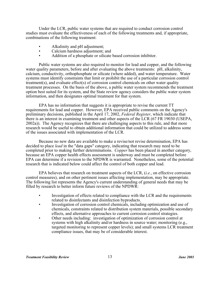Under the LCR, public water systems that are required to conduct corrosion control studies must evaluate the effectiveness of each of the following treatments and, if appropriate, combinations of the following treatment:

- Alkalinity and pH adjustment;
- Calcium hardness adjustment; and
- Addition of a phosphate or silicate based corrosion inhibitor.

Public water systems are also required to monitor for lead and copper, and the following water quality parameters, before and after evaluating the above treatments: pH, alkalinity, calcium, conductivity, orthophosphate or silicate (where added), and water temperature. Water systems must identify constraints that limit or prohibit the use of a particular corrosion control treatment(s), and evaluate effect(s) of corrosion control chemicals on other water quality treatment processes. On the basis of the above, a public water system recommends the treatment option best suited for its system, and the State review agency considers the public water system information, and then designates optimal treatment for that system.

EPA has no information that suggests it is appropriate to revise the current TT requirements for lead and copper. However, EPA received public comments on the Agency's preliminary decisions, published in the April 17, 2002, *Federal Register*, which indicate that there is an interest in examining treatment and other aspects of the LCR (67 FR 19030 (USEPA, 2002a)). The Agency recognizes that there are challenging aspects to this rule, and that more research would be useful to obtain additional information that could be utilized to address some of the issues associated with implementation of the LCR.

Because no new data are available to make a revise/not revise determination, EPA has decided to place *lead* in the "data gaps" category, indicating that research may need to be completed prior to making further determinations. *Copper* has been placed in another category, because an EPA copper health effects assessment is underway and must be completed before EPA can determine if a revision to the NPDWR is warranted. Nonetheless, some of the potential research that is indicated below could affect the control of both copper and lead.

EPA believes that research on treatment aspects of the LCR, (*i.e.*, on effective corrosion control measures), and on other pertinent issues affecting implementation, may be appropriate. The following list represents the Agency's current understanding of general needs that may be filled by research to better inform future reviews of the NPDWR:

- Investigation of effects related to compliance with the LCR and the requirements related to disinfectants and disinfection byproducts.
- Investigation of corrosion control chemicals, including optimization and use of chemicals, constraints related to distribution system materials, possible secondary effects, and alternative approaches to current corrosion control strategies.
- Other needs including: investigation of optimization of corrosion control at systems with high alkalinity and/or hardness in source water; monitoring (e.g., targeted monitoring to represent copper levels); and small systems LCR treatment compliance issues, that may be of considerable interest.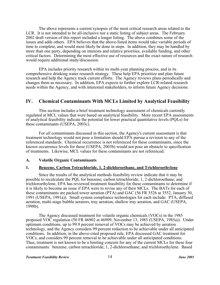The above represents a current synopsis of the most critical research areas related to the LCR. It is not intended to be all-inclusive nor a static listing of subject areas. The February 2002 draft version of this report included a longer listing. The above combines some of the issues and adds others. EPA believes that the above-listed items would take variable periods of time to complete, and would most likely be done in steps. In addition, they may be handled by more than one party, depending on interests and relative priorities, available funding, and other critical factors. Determining the most effective use of resources and the exact nature of research would require additional study/discussion.

EPA includes priority research within its multi-year planning process, and in its comprehensive drinking water research strategy. These help EPA prioritize and plan future research and help the Agency track current efforts. The Agency reviews plans periodically and changes them as necessary. In addition, EPA expects to further explore LCR-related research needs within the Agency, and with interested stakeholders, to inform future Agency decisions.

## **IV. Chemical Contaminants With MCLs Limited by Analytical Feasibility**

This section includes a brief treatment technology assessment of chemicals currently regulated at MCL values that were based on analytical feasibility. More recent EPA assessments of analytical feasibility indicate the potential for lower practical quantitative levels (PQLs) for these contaminants (USEPA, 2003c).

For *all* contaminants discussed in this section, the Agency's current assessment is that treatment technology would not pose a limitation should EPA pursue a revision to any of the referenced standards. Chemical occurrence is not referenced for these contaminants, since the known occurrence levels for these (USEPA, 2003b) would not pose an obstacle to specification of treatments. Likewise, MCL values for these contaminants are not referenced.

#### **A. Volatile Organic Contaminants**

#### **1. Benzene, Carbon Tetrachloride, 1, 2-dichloroethane, and Trichloroethylene**

Since the results of the analytical methods feasibility review indicate that it may be possible to recalculate the PQL for benzene; carbon tetrachloride; 1, 2-dichloroethane; and trichloroethylene, EPA has reviewed treatment feasibility for these contaminants to determine if it is likely to become an issue if EPA were to revise any of their MCLs. The BATs for each of these contaminants are packed tower aeration (PTA) and GAC (56 FR 3526 at 3552, January 30, 1991 (USEPA, 1991a)). Small system compliance technologies for each include: PTA, diffused aeration, multi-stage bubble aerators, tray aeration, shallow tray aeration, and GAC (USEPA, 1998b).

The Agency discussed treatment for volatile organic chemicals (VOCs) in the 1985 proposed VOC regulation (50 FR 46902 at 46909, November 13, 1985 (USEPA, 1985a)). Under optimum conditions, up to 99.9 percent removal of VOCs may be achieved by aeration technology, and the Agency considers 99 percent reduction to be achievable under all anticipated conditions. In addition, in the above-cited proposed rule, EPA discussed GAC treatment for VOCs, and considers 99 percent removal to be achievable under all anticipated conditions. Thus, treatment is not known to be a limiting concern for any of the current MCLs for these four contaminants: benzene; carbon tetrachloride; 1, 2-dichloroethane; and trichloroethylene. Based

#### *Treatment Feasibility Review June 2003* 14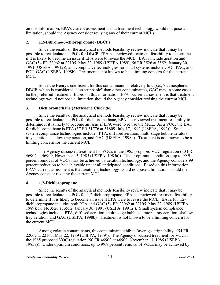on this information, EPA's current assessment is that treatment technology would not pose a limitation, should the Agency consider revising any of their current MCLs.

#### **2. 1,2-Dibromo-3-chloropropane (DBCP)**

Since the results of the analytical methods feasibility review indicate that it may be possible to recalculate the PQL for DBCP, EPA has reviewed treatment feasibility to determine if it is likely to become an issue if EPA were to revise the MCL. BATs include aeration and GAC (54 FR 22062 at 22105, May 22, 1989 (USEPA,1989); 56 FR 3526 at 3552, January 30, 1991 (USEPA, 1991a)), and compliance technologies for small systems include GAC, PAC, and POU-GAC (USEPA, 1998b). Treatment is not known to be a limiting concern for the current MCL.

Since the Henry's coefficient for this contaminant is relatively low (*i.e.*, 7 atmospheres DBCP, which is considered "less strippable" than other contaminants), GAC may in some cases be the preferred treatment. Based on this information, EPA's current assessment is that treatment technology would not pose a limitation should the Agency consider revising the current MCL.

#### **3. Dichloromethane (Methylene Chloride)**

Since the results of the analytical methods feasibility review indicate that it may be possible to recalculate the PQL for dichloromethane, EPA has reviewed treatment feasibility to determine if it is likely to become an issue if EPA were to revise the MCL. As a VOC, the BAT for dichloromethane is PTA (57 FR 31776 at 31809, July 17, 1992 (USEPA, 1992)). Small system compliance technologies include: PTA, diffused aeration, multi-stage bubble aerators, tray aeration, shallow tray aeration, and GAC (USEPA, 1998b). Treatment is not known to be a limiting concern for the current MCL.

The Agency discussed treatment for VOCs in the 1985 proposed VOC regulation (50 FR 46902 at 46909, November 13, 1985 (USEPA, 1985a)). Under optimum conditions, up to 99.9 percent removal of VOCs may be achieved by aeration technology, and the Agency considers 99 percent reduction to be achievable under all anticipated conditions. Based on this information, EPA's current assessment is that treatment technology would not pose a limitation, should the Agency consider revising the current MCL.

#### **4. 1,2-Dichloropropane**

Since the results of the analytical methods feasibility review indicate that it may be possible to recalculate the PQL for 1,2-dichloropropane, EPA has reviewed treatment feasibility to determine if it is likely to become an issue if EPA were to revise the MCL. BATs for 1,2 dichloropropane includes both PTA and GAC (54 FR 22062 at 22105, May 22, 1989 (USEPA, 1989); 56 FR 3526 at 3552, January 30, 1991 (USEPA, 1991a)). Small system compliance technologies include: PTA, diffused aeration, multi-stage bubble aerators, tray aeration, shallow tray aeration, and GAC (USEPA, 1998b). Treatment is not known to be a limiting concern for the current MCL.

Among volatile contaminants, this contaminant exhibits "average strippability" (54 FR 22062 at 22105, May 22, 1989 (USEPA, 1989)). The Agency discussed treatment for VOCs in the 1985 proposed VOC regulation (50 FR 46902 at 46909, November 13, 1985 (USEPA, 1985a)). Under optimum conditions, up to 99.9 percent removal of VOCs may be achieved by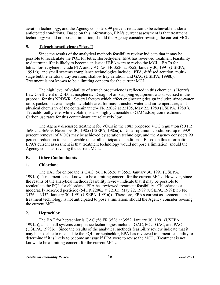aeration technology, and the Agency considers 99 percent reduction to be achievable under all anticipated conditions. Based on this information, EPA's current assessment is that treatment technology would not pose a limitation, should the Agency consider revising the current MCL.

## **5. Tetrachloroethylene ("Perc")**

Since the results of the analytical methods feasibility review indicate that it may be possible to recalculate the PQL for tetrachloroethylene, EPA has reviewed treatment feasibility to determine if it is likely to become an issue if EPA were to revise the MCL. BATs for tetrachloroethylene include PTA and GAC (56 FR 3526 at 3552, January 30, 1991 (USEPA, 1991a)), and small systems compliance technologies include: PTA, diffused aeration, multistage bubble aerators, tray aeration, shallow tray aeration, and GAC (USEPA, 1998b). Treatment is not known to be a limiting concern for the current MCL.

The high level of volatility of tetrachloroethylene is reflected in this chemical's Henry's Law Coefficient of 214.0 atmospheres. Design of air stripping equipment was discussed in the proposal for this NPDWR. Several factors which affect engineering design include: air-to-water ratio; packed material height; available area for mass transfer; water and air temperature; and physical chemistry of the contaminant (54 FR 22062 at 22105, May 22, 1989 (USEPA, 1989)). Tetrachloroethylene, while volatile, is also highly amenable to GAC adsorption treatment. Carbon use rates for this contaminant are relatively low.

The Agency discussed treatment for VOCs in the 1985 proposed VOC regulation (50 FR 46902 at 46909, November 30, 1985 (USEPA, 1985a)). Under optimum conditions, up to 99.9 percent removal of VOCs may be achieved by aeration technology, and the Agency considers 99 percent reduction to be achievable under all anticipated conditions. Based on this information, EPA's current assessment is that treatment technology would not pose a limitation, should the Agency consider revising the current MCL.

## **B. Other Contaminants**

## **1. Chlordane**

The BAT for chlordane is GAC (56 FR 3526 at 3552, January 30, 1991 (USEPA, 1991a)). Treatment is not known to be a limiting concern for the current MCL. However, since the results of the analytical methods feasibility review indicate that it may be possible to recalculate the PQL for chlordane, EPA has reviewed treatment feasibility. Chlordane is a moderately adsorbed pesticide (54 FR 22062 at 22105, May 22, 1989 (USEPA, 1989); 56 FR 3526 at 3552, January 30, 1991 (USEPA, 1991a)). Therefore, EPA's current assessment is that treatment technology is not anticipated to pose a limitation, should the Agency consider revising the current MCL.

## **2. Heptachlor**

The BAT for heptachlor is GAC (56 FR 3526 at 3552, January 30, 1991 (USEPA, 1991a)), and small systems compliance technologies include: GAC, POU-GAC, and PAC (USEPA, 1998b). Since the results of the analytical methods feasibility review indicate that it may be possible to recalculate the PQL for heptachlor, EPA has reviewed treatment feasibility to determine if it is likely to become an issue if EPA were to revise the MCL. Treatment is not known to be a limiting concern for the current MCL.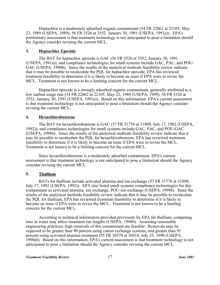Heptachlor is a moderately adsorbed organic contaminant (54 FR 22062 at 22105, May 22, 1989 (USEPA, 1989); 56 FR 3526 at 3552, January 30, 1991 (USEPA, 1991a)). EPA's preliminary assessment is that treatment technology is not anticipated to pose a limitation should the Agency consider revising the current MCL.

### **3. Heptachlor Epoxide**

The BAT for heptachlor epoxide is GAC (56 FR 3526 at 3552, January 30, 1991 (USEPA, 1991a)), and compliance technologies for small systems include GAC, PAC, and POU-GAC (USEPA, 1998b). Since the results of the analytical methods feasibility review indicate that it may be possible to recalculate the PQL for heptachlor epoxide, EPA has reviewed treatment feasibility to determine if it is likely to become an issue if EPA were to revise the MCL. Treatment is not known to be a limiting concern for the current MCL.

Heptachlor epoxide is a strongly adsorbed organic contaminant, generally attributed to a low carbon usage rate (54 FR 22062 at 22105, May 22, 1989 (USEPA, 1989); 56 FR 3526 at 3552, January 30, 1991 (USEPA, 1991a)). Based on this information, EPA's current assessment is that treatment technology is not anticipated to pose a limitation should the Agency consider revising the current MCL.

### **4. Hexachlorobenzene**

The BAT for hexachlorobenzene is GAC (57 FR 31776 at 31809, July 17, 1992 (USEPA, 1992)), and compliance technologies for small systems include GAC, PAC, and POU-GAC (USEPA, 1998b). Since the results of the analytical methods feasibility review indicate that it may be possible to recalculate the PQL for hexachlorobenzene, EPA has reviewed treatment feasibility to determine if it is likely to become an issue if EPA were to revise the MCL. Treatment is not known to be a limiting concern for the current MCL.

Since hexachlorobenzene is a moderately adsorbed contaminant, EPA's current assessment is that treatment technology is not anticipated to pose a limitation should the Agency consider revising the current MCL.

## **5. Thallium**

BATs for thallium include activated alumina and ion exchange (57 FR 31776 at 31809, July 17, 1992 (USEPA, 1992)). EPA also listed small systems compliance technologies for this contaminant as activated alumina, ion exchange, POU-ion exchange (USEPA, 1998b). Since the results of the analytical methods feasibility review indicate that it may be possible to recalculate the PQL for thallium, EPA has reviewed treatment feasibility to determine if it is likely to become an issue if EPA were to revise the MCL. Treatment is not known to be a limiting concern for the current MCL.

According to technical information provided previously by EPA for thallium, competing ions in water may affect treatment run lengths (USEPA, 1998b). Assuming reasonable engineering practices, high removals of this contaminant are feasible. Removals may be expected to be greater than 90 percent using cation exchange systems, and greater than 95 percent using activated alumina treatment (55 FR 30370 at 30416, July 25, 1990 (USEPA, 1990d)). Based on this information, EPA's current assessment is that treatment technology is not anticipated to pose a limitation should the Agency consider revising the current MCL.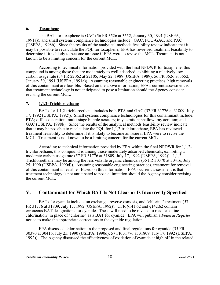### **6. Toxaphene**

The BAT for toxaphene is GAC (56 FR 3526 at 3552, January 30, 1991 (USEPA, 1991a)), and small systems compliance technologies include: GAC, POU-GAC, and PAC (USEPA, 1998b). Since the results of the analytical methods feasibility review indicate that it may be possible to recalculate the PQL for toxaphene, EPA has reviewed treatment feasibility to determine if it is likely to become an issue if EPA were to revise the MCL. Treatment is not known to be a limiting concern for the current MCL.

According to technical information provided with the final NPDWR for toxaphene, this compound is among those that are moderately to well-adsorbed, exhibiting a relatively low carbon usage rate (54 FR 22062 at 22105, May 22, 1989 (USEPA, 1989); 56 FR 3526 at 3552, January 30, 1991 (USEPA, 1991a)). Assuming reasonable engineering practices, high removals of this contaminant are feasible. Based on the above information, EPA's current assessment is that treatment technology is not anticipated to pose a limitation should the Agency consider revising the current MCL.

## **7. 1,1,2-Trichloroethane**

BATs for 1,1,2-trichloroethane includes both PTA and GAC (57 FR 31776 at 31809, July 17, 1992 (USEPA, 1992)). Small systems compliance technologies for this contaminant include: PTA; diffused aeration; multi-stage bubble aerators; tray aeration; shallow tray aeration; and GAC (USEPA, 1998b). Since the results of the analytical methods feasibility review indicate that it may be possible to recalculate the PQL for 1,1,2-trichloroethane, EPA has reviewed treatment feasibility to determine if it is likely to become an issue if EPA were to revise the MCL. Treatment is not known to be a limiting concern for the current MCL.

According to technical information provided by EPA within the final NPDWR for 1,1,2 trichloroethane, this compound is among those moderately adsorbed chemicals, exhibiting a moderate carbon usage rate (57 FR 31776 at 31809, July 17, 1992 (USEPA, 1992)). 1,1,2- Trichloroethane may be among the less volatile organic chemicals (55 FR 30370 at 30416, July 25, 1990 (USEPA, 1990d)). Assuming reasonable engineering practices, treatment for removal of this contaminant is feasible. Based on this information, EPA's current assessment is that treatment technology is not anticipated to pose a limitation should the Agency consider revising the current MCL.

## **V. Contaminant for Which BAT Is Not Clear or Is Incorrectly Specified**

BATs for cyanide include ion exchange, reverse osmosis, and "chlorine" treatment (57 FR 31776 at 31809, July 17, 1992 (USEPA, 1992)). CFR §141.62 and §142.62 contain erroneous BAT designations for cyanide. These will need to be revised to read "alkaline chlorination" in place of "chlorine" as a BAT for cyanide. EPA will publish a *Federal Register* notice to make the appropriate corrections to the cyanide regulation.

EPA discussed chlorination in the proposed and final regulations for cyanide (55 FR 30370 at 30416, July 25, 1990 (USEPA, 1990d); 57 FR 31776 at 31809, July 17, 1992 (USEPA, 1992)). The Agency discussed the effectiveness of oxidation of cyanide at high pH in the related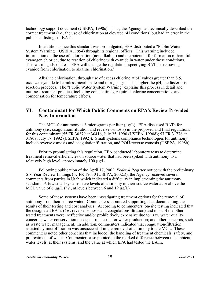technology support document (USEPA, 1990c). Thus, the Agency had technically described the correct treatment (*i.e.*, the use of chlorination at elevated pH conditions) but had an error in the published listings of BATs.

In addition, since this standard was promulgated, EPA distributed a "Public Water System Warning" (USEPA, 1994) through its regional offices. This warning included information on the use of chlorination (non-alkaline) and the potential for formation of harmful cyanogen chloride, due to reaction of chlorine with cyanide in water under those conditions. This warning also states, "EPA will change the regulations specifying BAT for removing cyanide from chlorination to alkaline chlorination."

Alkaline chlorination, through use of excess chlorine at pH values greater than 8.5, oxidizes cyanide to harmless bicarbonate and nitrogen gas. The higher the pH, the faster this reaction proceeds. The "Public Water System Warning" explains this process in detail and outlines treatment practice, including contact times, required chlorine concentrations, and compensation for temperature effects.

## **VI. Contaminant for Which Public Comments on EPA's Review Provided New Information**

The MCL for antimony is 6 micrograms per liter ( $\mu$ g/L). EPA discussed BATs for antimony (*i.e.*, coagulation/filtration and reverse osmosis) in the proposed and final regulations for this contaminant (55 FR 30370 at 30416, July 25, 1990 (USEPA, 1990d); 57 FR 31776 at 31809, July 17, 1992 (USEPA, 1992)). Small systems compliance technologies for antimony include reverse osmosis and coagulation/filtration, and POU-reverse osmosis (USEPA, 1998b).

Prior to promulgating this regulation, EPA conducted laboratory tests to determine treatment removal efficiencies on source water that had been spiked with antimony to a relatively high level, approximately 100 µg/L.

Following publication of the April 17, 2002, *Federal Register* notice with the preliminary Six-Year Review findings (67 FR 19030 (USEPA, 2002a)), the Agency received several comments from parties in Utah which indicated a difficulty in implementing the antimony standard. A few small systems have levels of antimony in their source water at or above the MCL value of 6 μg/L (*i.e.*, at levels between 6 and 19 μg/L).

Some of these systems have been investigating treatment options for the removal of antimony from their source water. Commenters submitted supporting data documenting the results of their testing and cost analyses. According to commenters, on-site testing indicated that the designated BATs (*i.e.*, reverse osmosis and coagulation/filtration) and most of the other tested treatments were ineffective and/or prohibitively expensive due to: raw water quality concerns; water conservation needs; current costs for water production; and other concerns, such as waste water management. In addition, commenters indicated that coagulation/filtration assisted by microfiltration was unsuccessful in the removal of antimony to the MCL. These commenters noted other concerns that included: the handling of treatment chemicals, safety, and pretreatment of water. Commenters also pointed to the marked difference between the ambient water levels, at their systems, and the value at which EPA had tested the BATs.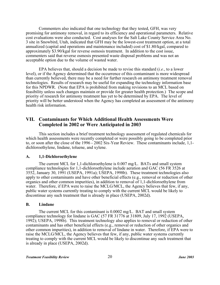Commenters also indicated that one technology that they tested, GFH, was very promising for antimony removal, in regard to its efficiency and operational parameters. Relative cost evaluations were also conducted. Cost analyses for the Salt Lake County Service Area No. 3 site in Snowbird, Utah, indicated that GFH may be the lowest-cost treatment option, at a total annualized (capital and operations and maintenance included) cost of \$1.80/kgal, compared to approximately \$3.90/kgal for reverse osmosis treatment. In addition to the cost issue, commenters said that reverse osmosis presented waste disposal problems and was not an acceptable option due to the volume of wasted water.

EPA believes that, should a decision be made to revise this standard (*i.e.*, to a lower level), or if the Agency determined that the occurrence of this contaminant is more widespread than currently believed, there may be a need for further research on antimony treatment removal technologies. Results of research may be useful for expanding the technology information base for this NPDWR. (Note that EPA is prohibited from making revisions to an MCL based on feasibility unless such changes maintain or provide for greater health protection.) The scope and priority of research for antimony treatment has yet to be determined by EPA. The level of priority will be better understood when the Agency has completed an assessment of the antimony health risk information.

## **VII. Contaminants for Which Additional Health Assessments Were Completed in 2002 or Were Anticipated in 2003**

This section includes a brief treatment technology assessment of regulated chemicals for which health assessments were recently completed or were possibly going to be completed prior to, or soon after the close of the 1996 - 2002 Six-Year Review. These contaminants include, 1,1 dichloroethylene, lindane, toluene, and xylene.

#### **A. 1,1-Dichloroethylene**

The current MCL for 1,1-dichloroethylene is 0.007 mg/L. BATs and small system compliance technologies for 1,1-dichloroethylene include aeration and GAC (56 FR 3526 at 3552, January 30, 1991 (USEPA, 1991a); USEPA, 1998b). These treatment technologies also apply to other contaminants and have other beneficial effects (e.g., removal or reduction of other organics and other common impurities), in addition to removal of 1,1-dichloroethylene from water. Therefore, if EPA were to raise the MCLG/MCL, the Agency believes that few, if any, public water systems currently treating to comply with the current MCL would be likely to discontinue any such treatment that is already in place (USEPA, 2002d).

#### **B. Lindane**

The current MCL for this contaminant is 0.0002 mg/L. BAT and small system compliance technology for lindane is GAC (57 FR 31776 at 31809, July 17, 1992 (USEPA, 1992); USEPA, 1998b). This treatment technology also applies to removal or reduction of other contaminants and has other beneficial effects (e.g., removal or reduction of other organics and other common impurities), in addition to removal of lindane in water. Therefore, if EPA were to raise the MCLG/MCL, the Agency believes that few, if any, public water systems currently treating to comply with the current MCL would be likely to discontinue any such treatment that is already in place (USEPA, 2002d).

*Treatment Feasibility Review June 2003* 20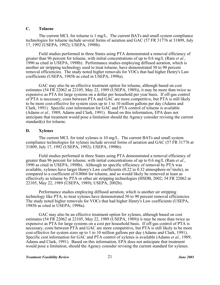### **C. Toluene**

The current MCL for toluene is 1 mg/L. The current BATs and small system compliance technologies for toluene include several forms of aeration and GAC (57 FR 31776 at 31809, July 17, 1992 (USEPA, 1992); USEPA, 1998b).

Field studies performed in three States using PTA demonstrated a removal efficiency of greater than 96 percent for toluene, with initial concentrations of up to 0.6 mg/L (Ram *et al.*, 1990 as cited in USEPA, 1998b). Performance studies employing diffused aeration, which is another air stripping technology used to treat toluene, have demonstrated 50 to 90 percent removal efficiencies. The study noted higher removals for VOCs that had higher Henry's Law coefficients (USEPA, 1985b as cited in USEPA, 1998a).

GAC may also be an effective treatment option for toluene, although based on cost estimates (54 FR 22062 at 22105, May 22, 1989 (USEPA, 1989)), it may be more than twice as expensive as PTA for large systems on a dollar per household per year basis. If off-gas control of PTA is necessary, costs between PTA and GAC are more competitive, but PTA is still likely to be more cost-effective for system sizes up to 1 to 10 million gallons per day (Adams and Clark, 1991). Specific cost information for GAC and PTA control of toluene is available (Adams *et al.,* 1989; Adams and Clark, 1991). Based on this information, EPA does not anticipate that treatment would pose a limitation should the Agency consider revising the current standard(s) for toluene.

#### **D. Xylenes**

The current MCL for total xylenes is 10 mg/L. The current BATs and small system compliance technologies for xylenes include several forms of aeration and GAC (57 FR 31776 at 31809, July 17, 1992 (USEPA, 1992); USEPA, 1998b).

Field studies performed in three States using PTA demonstrated a removal efficiency of greater than 96 percent for toluene, with initial concentrations of up to 0.6 mg/L (Ram *et al.*, 1990 as cited in USEPA, 1998b). Although no specific efficiency of removal by PTA was available, xylenes have larger Henry's Law coefficients  $(0.22 \text{ to } 0.32 \text{ atmosphere} \cdot \text{m}^3/\text{mole})$ , as compared to a coefficient of 0.0066 for toluene, and so would likely be removed at least as effectively as toluene by PTA or other air stripping technologies (HSDB, 2002; 54 FR 22062 at 22105, May 22, 1989 (USEPA, 1989); USEPA, 2002b).

Performance studies employing diffused aeration, which is another air stripping technology like PTA, to treat xylenes have demonstrated 50 to 90 percent removal efficiencies. The study noted higher removals for VOCs that had higher Henry's Law coefficients (USEPA, 1985b as cited in USEPA, 1998a).

GAC may also be an effective treatment option for xylenes, although based on cost estimates (54 FR 22062 at 22105, May 22, 1989 (USEPA, 1989)) it may be more than twice as expensive as PTA for large systems on a cost per household basis. If off-gas control of PTA is necessary, costs between PTA and GAC are more competitive, but PTA is still likely to be more cost-effective for system sizes up to 1 to 10 million gallons per day (Adams and Clark, 1991). Specific cost information for GAC and PTA control of xylenes is available (Adams *et al.*, 1989; Adams and Clark, 1991). Based on this information, EPA does not anticipate that treatment would pose a limitation, should the Agency consider revising the current standard for xylenes.

#### *Treatment Feasibility Review June 2003* 21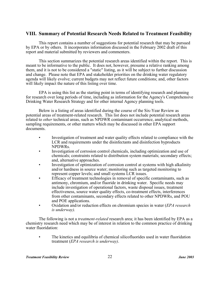## **VIII. Summary of Potential Research Needs Related to Treatment Feasibility**

This report contains a number of suggestions for potential research that may be pursued by EPA or by others. It incorporates information discussed in the February 2002 draft of this report and material submitted by reviewers and commenters.

This section summarizes the potential research areas identified within the report. This is meant to be informative to the public. It does not, however, presume a relative ranking among them, and it is not to be considered a "static" listing, as it will be subject to further discussion and change. Please note that EPA and stakeholder priorities on the drinking water regulatory agenda will likely evolve; current budgets may not reflect future conditions; and, other factors will likely impact the nature of this listing over time.

EPA is using this list as the starting point in terms of identifying research and planning for research over long periods of time, including as information for the Agency's Comprehensive Drinking Water Research Strategy and for other internal Agency planning tools.

Below is a listing of areas identified during the course of the Six-Year Review as potential areas of treatment-related research. This list does not include potential research areas related to *other* technical areas, such as NPDWR contaminant occurrence, analytical methods, sampling requirements, or other matters which may be discussed in other EPA support documents.

- Investigation of treatment and water quality effects related to compliance with the LCR and requirements under the disinfectants and disinfection byproducts NPDWRs.
- Investigation of corrosion control chemicals, including optimization and use of chemicals; constraints related to distribution system materials; secondary effects; and, alternative approaches.
- Investigation of optimization of corrosion control at systems with high alkalinity and/or hardness in source water; monitoring such as targeted monitoring to represent copper levels; and small systems LCR issues.
- Efficacy of treatment technologies in removal of specific contaminants, such as antimony, chromium, and/or fluoride in drinking water. Specific needs may include investigation of operational factors, waste disposal issues, treatment effectiveness, source water quality effects, co-treatment effects, interferences from other contaminants, secondary effects related to other NPDWRs, and POU and POE applications.
- Oxidation and/or reduction effects on chromium species in water (*EPA research is underway).*

The following is not a *treatment-related* research area; it has been identified by EPA as a chemistry research need which may be of interest in relation to the common practice of drinking water fluoridation:

• The kinetics and equilibria of chemical silicofluorides used in water fluoridation treatment (*EPA research is underway)*.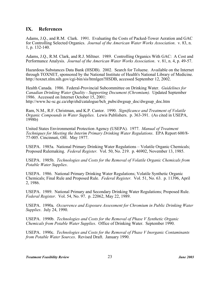## **IX. References**

Adams, J.Q., and R.M. Clark. 1991. Evaluating the Costs of Packed-Tower Aeration and GAC for Controlling Selected Organics. *Journal of the American Water Works Association*. v. 83, n. 1, p. 132-140.

Adams, J.Q., R.M. Clark, and R.J. Miltner. 1989. Controlling Organics With GAC: A Cost and Performance Analysis. *Journal of the American Water Works Association*. v. 81, n. 4, p. 49-57.

Hazardous Substances Data Bank (HSDB). 2002. Search for Toluene. Available on the Internet through TOXNET, sponsored by the National Institute of Health's National Library of Medicine. http://toxnet.nlm.nih.gov/cgi-bin/sis/htmlgen?HSDB, accessed September 12, 2002.

Health Canada. 1986. Federal-Provincial Subcommittee on Drinking Water. *Guidelines for Canadian Drinking Water Quality - Supporting Document (Chromium).* Updated September 1986. Accessed on Internet October 15, 2001: http://www.hc-sc.gc.ca/ehp/ehd/catalogue/bch\_pubs/dwgsup\_doc/dwgsup\_doc.htm

Ram, N.M., R.F. Christman, and K.P. Cantor. 1990. *Significance and Treatment of Volatile Organic Compounds in Water Supplies.* Lewis Publishers. p. 363-391. (As cited in USEPA, 1998b)

United States Environmental Protection Agency (USEPA). 1977. *Manual of Treatment Techniques for Meeting the Interim Primary Drinking Water Regulations*. EPA Report 600/8- 77-005. Cincinnati, OH. May 1977.

USEPA. 1985a. National Primary Drinking Water Regulations – Volatile Organic Chemicals; Proposed Rulemaking. *Federal Register.* Vol. 50, No. 219. p. 46902, November 13, 1985.

USEPA. 1985b. *Technologies and Costs for the Removal of Volatile Organic Chemicals from Potable Water Supplies*.

USEPA. 1986. National Primary Drinking Water Regulations; Volatile Synthetic Organic Chemicals; Final Rule and Proposed Rule. *Federal Register.* Vol. 51, No. 63. p. 11396, April 2, 1986.

USEPA. 1989. National Primary and Secondary Drinking Water Regulations; Proposed Rule. *Federal Register.* Vol. 54, No. 97. p. 22062, May 22, 1989.

USEPA. 1990a. *Occurrence and Exposure Assessment for Chromium in Public Drinking Water Supplies*. July 24, 1990.

USEPA. 1990b. *Technologies and Costs for the Removal of Phase V Synthetic Organic Chemicals from Potable Water Supplies*. Office of Drinking Water. September 1990.

USEPA. 1990c. *Technologies and Costs for the Removal of Phase V Inorganic Contaminants from Potable Water Sources*. Revised Draft. January 1990.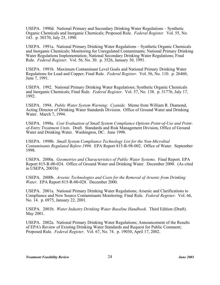USEPA. 1990d. National Primary and Secondary Drinking Water Regulations – Synthetic Organic Chemicals and Inorganic Chemicals; Proposed Rule. *Federal Register.* Vol. 55, No. 143. p. 30370, July 25, 1990.

USEPA. 1991a. National Primary Drinking Water Regulations – Synthetic Organic Chemicals and Inorganic Chemicals; Monitoring for Unregulated Contaminants; National Primary Drinking Water Regulations Implementation; National Secondary Drinking Water Regulations; Final Rule. *Federal Register.* Vol. 56, No. 30. p. 3526, January 30, 1991.

USEPA. 1991b. Maximum Contaminant Level Goals and National Primary Drinking Water Regulations for Lead and Copper; Final Rule. *Federal Register.* Vol. 56, No. 110. p. 26460, June 7, 1991.

USEPA. 1992. National Primary Drinking Water Regulations; Synthetic Organic Chemicals and Inorganic Chemicals; Final Rule. *Federal Register.* Vol. 57, No. 138. p. 31776, July 17, 1992.

USEPA. 1994. *Public Water System Warning: Cyanide.* Memo from William R. Diamond, Acting Director of Drinking Water Standards Division. Office of Ground Water and Drinking Water. March 7, 1994.

USEPA. 1998a. *Cost Evaluation of Small System Compliance Options-Point-of-Use and Pointof-Entry Treatment Units*. Draft. Standards and Risk Management Division, Office of Ground Water and Drinking Water. Washington, DC. June 1998.

USEPA. 1998b. *Small System Compliance Technology List for the Non-Microbial Contaminants Regulated Before 1996.* EPA Report 815-R-98-002. Office of Water. September 1998.

USEPA. 2000a. *Geometries and Characteristics of Public Water Systems.* Final Report. EPA Report 815-R-00-024. Office of Ground Water and Drinking Water. December 2000. (As cited in USEPA, 2001b)

USEPA. 2000b. *Arsenic Technologies and Costs for the Removal of Arsenic from Drinking Water*. EPA Report 815-R-00-028. December 2000.

USEPA. 2001a. National Primary Drinking Water Regulations; Arsenic and Clarifications to Compliance and New Source Contaminants Monitoring; Final Rule. *Federal Register.* Vol. 66, No. 14. p. 6975, January 22, 2001.

USEPA. 2001b. *Water Industry Drinking Water Baseline Handbook.* Third Edition (Draft). May 2001.

USEPA. 2002a. National Primary Drinking Water Regulations; Announcement of the Results of EPA's Review of Existing Drinking Water Standards and Request for Public Comment; Proposed Rule. *Federal Register*. Vol. 67, No. 74. p. 19030, April 17, 2002.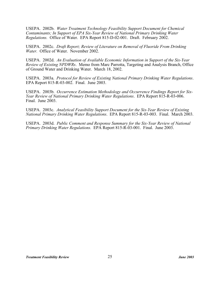USEPA. 2002b. *Water Treatment Technology Feasibility Support Document for Chemical Contaminants; In Support of EPA Six-Year Review of National Primary Drinking Water Regulations.* Office of Water. EPA Report 815-D-02-001. Draft. February 2002.

USEPA. 2002c. *Draft Report; Review of Literature on Removal of Fluoride From Drinking Water.* Office of Water. November 2002.

USEPA. 2002d. *An Evaluation of Available Economic Information in Support of the Six-Year Review of Existing NPDWRs*. Memo from Marc Parrotta, Targeting and Analysis Branch, Office of Ground Water and Drinking Water. March 18, 2002.

USEPA. 2003a. *Protocol for Review of Existing National Primary Drinking Water Regulations*. EPA Report 815-R-03-002. Final. June 2003.

USEPA. 2003b. *Occurrence Estimation Methodology and Occurrence Findings Report for Six-Year Review of National Primary Drinking Water Regulations*. EPA Report 815-R-03-006. Final. June 2003.

USEPA. 2003c. *Analytical Feasibility Support Document for the Six-Year Review of Existing National Primary Drinking Water Regulations*. EPA Report 815-R-03-003. Final. March 2003.

USEPA. 2003d. *Public Comment and Response Summary for the Six-Year Review of National Primary Drinking Water Regulations.* EPA Report 815-R-03-001. Final. June 2003.